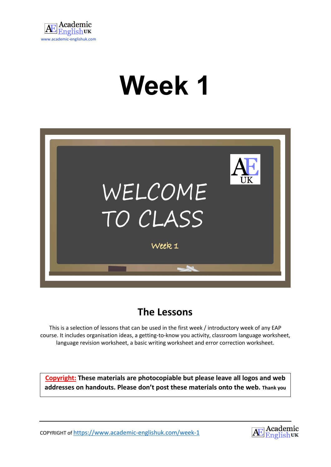

# **Week 1**



# **The Lessons**

This is a selection of lessons that can be used in the first week / introductory week of any EAP course. It includes organisation ideas, a getting-to-know you activity, classroom language worksheet, language revision worksheet, a basic writing worksheet and error correction worksheet.

**Copyright: These materials are photocopiable but please leave all logos and web addresses on handouts. Please don't post these materials onto the web. Thank you**

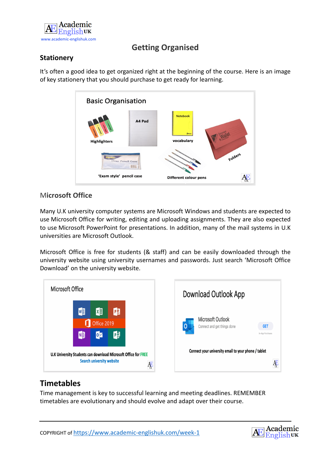

## **Getting Organised**

## **Stationery**

It's often a good idea to get organized right at the beginning of the course. Here is an image of key stationery that you should purchase to get ready for learning.



## M**icrosoft Office**

Many U.K university computer systems are Microsoft Windows and students are expected to use Microsoft Office for writing, editing and uploading assignments. They are also expected to use Microsoft PowerPoint for presentations. In addition, many of the mail systems in U.K universities are Microsoft Outlook.

Microsoft Office is free for students (& staff) and can be easily downloaded through the university website using university usernames and passwords. Just search 'Microsoft Office Download' on the university website.





## **Timetables**

Time management is key to successful learning and meeting deadlines. REMEMBER timetables are evolutionary and should evolve and adapt over their course.

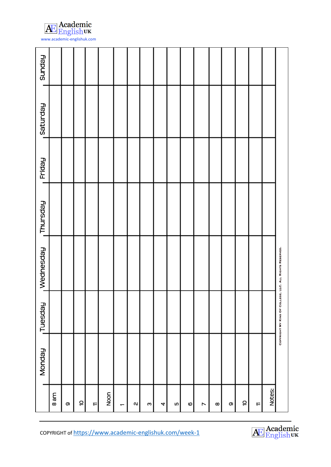

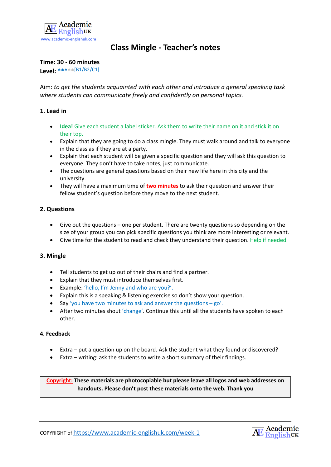

## **Class Mingle - Teacher's notes**

#### **Time: 30 - 60 minutes**

**Level: \*\*\*\*\***[B1/B2/C1]

Aim: *to get the students acquainted with each other and introduce a general speaking task where students can communicate freely and confidently on personal topics.*

## **1. Lead in**

- **Idea!** Give each student a label sticker. Ask them to write their name on it and stick it on their top.
- Explain that they are going to do a class mingle. They must walk around and talk to everyone in the class as if they are at a party.
- Explain that each student will be given a specific question and they will ask this question to everyone. They don't have to take notes, just communicate.
- The questions are general questions based on their new life here in this city and the university.
- They will have a maximum time of **two minutes** to ask their question and answer their fellow student's question before they move to the next student.

#### **2. Questions**

- Give out the questions one per student. There are twenty questions so depending on the size of your group you can pick specific questions you think are more interesting or relevant.
- Give time for the student to read and check they understand their question. Help if needed.

#### **3. Mingle**

- Tell students to get up out of their chairs and find a partner.
- Explain that they must introduce themselves first.
- Example: 'hello, I'm Jenny and who are you?'.
- Explain this is a speaking & listening exercise so don't show your question.
- Say 'you have two minutes to ask and answer the questions go'.
- After two minutes shout 'change'. Continue this until all the students have spoken to each other.

#### **4. Feedback**

- Extra put a question up on the board. Ask the student what they found or discovered?
- Extra writing: ask the students to write a short summary of their findings.

**Copyright: These materials are photocopiable but please leave all logos and web addresses on handouts. Please don't post these materials onto the web. Thank you**

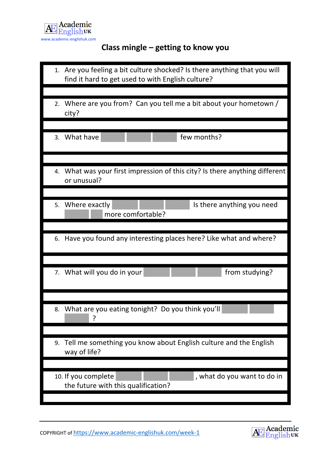

# **Class mingle – getting to know you**

| 1. Are you feeling a bit culture shocked? Is there anything that you will<br>find it hard to get used to with English culture? |
|--------------------------------------------------------------------------------------------------------------------------------|
| 2. Where are you from? Can you tell me a bit about your hometown /<br>city?                                                    |
| 3. What have<br>few months?                                                                                                    |
| 4. What was your first impression of this city? Is there anything different<br>or unusual?                                     |
| 5. Where exactly<br>Is there anything you need<br>more comfortable?                                                            |
| 6. Have you found any interesting places here? Like what and where?                                                            |
| 7. What will you do in your<br>from studying?                                                                                  |
| What are you eating tonight? Do you think you'll<br>8.                                                                         |
| 9. Tell me something you know about English culture and the English<br>way of life?                                            |
| 10. If you complete<br>, what do you want to do in<br>the future with this qualification?                                      |

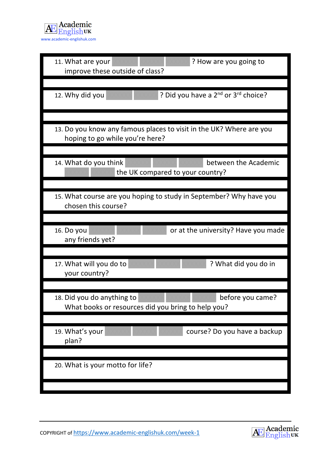

| 11. What are your<br>? How are you going to<br>improve these outside of class?                         |
|--------------------------------------------------------------------------------------------------------|
|                                                                                                        |
| ? Did you have a 2 <sup>nd</sup> or 3 <sup>rd</sup> choice?<br>12. Why did you                         |
|                                                                                                        |
| 13. Do you know any famous places to visit in the UK? Where are you<br>hoping to go while you're here? |
|                                                                                                        |
| between the Academic<br>14. What do you think<br>the UK compared to your country?                      |
|                                                                                                        |
| 15. What course are you hoping to study in September? Why have you<br>chosen this course?              |
|                                                                                                        |
| or at the university? Have you made<br>16. Do you<br>any friends yet?                                  |
|                                                                                                        |
| 17. What will you do to<br>? What did you do in<br>your country?                                       |
|                                                                                                        |
| 18. Did you do anything to<br>before you came?<br>What books or resources did you bring to help you?   |
|                                                                                                        |
| 19. What's your<br>course? Do you have a backup<br>plan?                                               |
|                                                                                                        |
| 20. What is your motto for life?                                                                       |
|                                                                                                        |

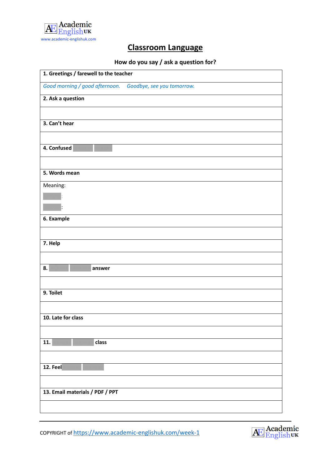

## **Classroom Language**

## **How do you say / ask a question for?**

| 1. Greetings / farewell to the teacher |                            |
|----------------------------------------|----------------------------|
| Good morning / good afternoon.         | Goodbye, see you tomorrow. |
| 2. Ask a question                      |                            |
|                                        |                            |
| 3. Can't hear                          |                            |
|                                        |                            |
| 4. Confused                            |                            |
|                                        |                            |
| 5. Words mean                          |                            |
| Meaning:                               |                            |
|                                        |                            |
|                                        |                            |
| 6. Example                             |                            |
|                                        |                            |
| 7. Help                                |                            |
|                                        |                            |
| 8.<br>answer                           |                            |
|                                        |                            |
| 9. Toilet                              |                            |
|                                        |                            |
| 10. Late for class                     |                            |
|                                        |                            |
| 11.<br>class                           |                            |
|                                        |                            |
| $\overline{1}$ 2. Feel                 |                            |
|                                        |                            |
| 13. Email materials / PDF / PPT        |                            |
|                                        |                            |

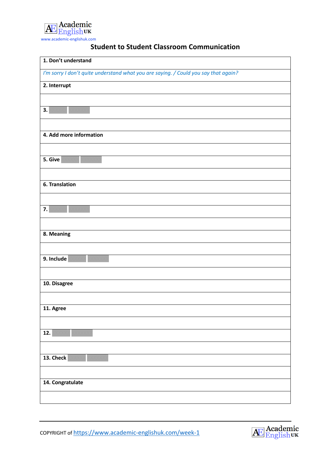

| 1. Don't understand                                                                 |
|-------------------------------------------------------------------------------------|
| I'm sorry I don't quite understand what you are saying. / Could you say that again? |
| 2. Interrupt                                                                        |
|                                                                                     |
| 3.                                                                                  |
|                                                                                     |
| 4. Add more information                                                             |
|                                                                                     |
| 5. Give                                                                             |
|                                                                                     |
| 6. Translation                                                                      |
|                                                                                     |
| 7.                                                                                  |
|                                                                                     |
| 8. Meaning                                                                          |
|                                                                                     |
| 9. Include                                                                          |
|                                                                                     |
| 10. Disagree                                                                        |
|                                                                                     |
| 11. Agree                                                                           |
|                                                                                     |
| 12.                                                                                 |
|                                                                                     |
| 13. Check                                                                           |
|                                                                                     |
| 14. Congratulate                                                                    |
|                                                                                     |

## **Student to Student Classroom Communication**

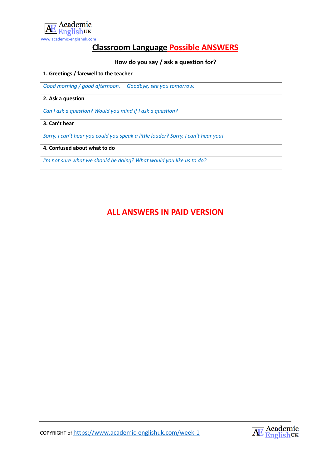

## **Classroom Language Possible ANSWERS**

## **How do you say / ask a question for?**

#### **1. Greetings / farewell to the teacher**

*Good morning / good afternoon. Goodbye, see you tomorrow.*

#### **2. Ask a question**

*Can I ask a question? Would you mind if I ask a question?*

#### **3. Can't hear**

*Sorry, I can't hear you could you speak a little louder? Sorry, I can't hear you!*

#### **4. Confused about what to do**

*I'm not sure what we should be doing? What would you like us to do?* 

## **ALL ANSWERS IN PAID VERSION**

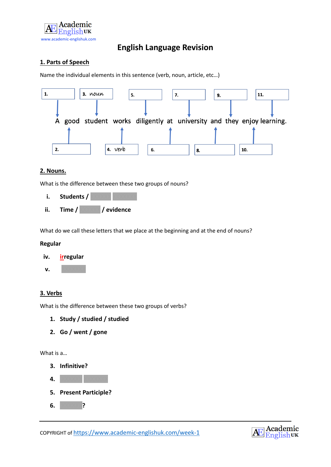

## **English Language Revision**

## **1. Parts of Speech**

Name the individual elements in this sentence (verb, noun, article, etc…)



#### **2. Nouns.**

What is the difference between these two groups of nouns?

**i.** Students / **ii. Time /** XXXXXX **/ evidence**

What do we call these letters that we place at the beginning and at the end of nouns?

#### **Regular**



#### **3. Verbs**

What is the difference between these two groups of verbs?

- **1. Study / studied / studied**
- **2. Go / went / gone**

What is a…

- **3. Infinitive?**
- **4.** XXXXXX XXXXXX
- **5. Present Participle?**
- **6.** XXXXX**?**

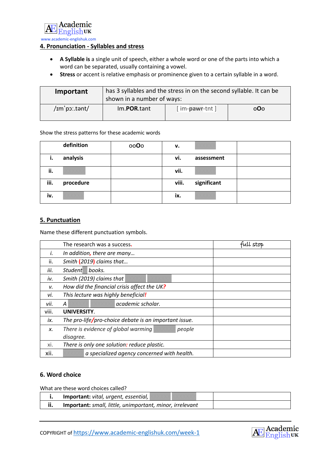

## **4. Pronunciation - Syllables and stress**

- **A Syllable is** a single unit of speech, either a whole word or one of the parts into which a word can be separated, usually containing a vowel.
- **Stress** or accent is relative emphasis or prominence given to a certain syllable in a word.

| Important     | has 3 syllables and the stress in on the second syllable. It can be<br>shown in a number of ways: |               |                         |
|---------------|---------------------------------------------------------------------------------------------------|---------------|-------------------------|
| /im'po:.tant/ | Im.POR.tant                                                                                       | [im-pawr-tnt] | 0 <b>O</b> <sub>O</sub> |

#### Show the stress patterns for these academic words

|      | definition | 0000 | v.    |             |  |
|------|------------|------|-------|-------------|--|
| ı.   | analysis   |      | vi.   | assessment  |  |
| ii.  |            |      | vii.  |             |  |
| iii. | procedure  |      | viii. | significant |  |
| iv.  |            |      | ix.   |             |  |

#### **5. Punctuation**

Name these different punctuation symbols.

|       | The research was a success.                   |                                                       | full stop |
|-------|-----------------------------------------------|-------------------------------------------------------|-----------|
| İ.    | In addition, there are many                   |                                                       |           |
| ii.   | Smith (2019) claims that                      |                                                       |           |
| iii.  | <b>Student</b><br>books.                      |                                                       |           |
| iv.   | Smith (2019) claims that                      |                                                       |           |
| ν.    | How did the financial crisis affect the UK?   |                                                       |           |
| vi.   | This lecture was highly beneficial!           |                                                       |           |
| vii.  | A                                             | academic scholar.                                     |           |
| viii. | UNIVERSITY.                                   |                                                       |           |
| ix.   |                                               | The pro-life/pro-choice debate is an important issue. |           |
| X.    | There is evidence of global warming<br>people |                                                       |           |
|       | disagree.                                     |                                                       |           |
| xi.   |                                               | There is only one solution: reduce plastic.           |           |
| xii.  |                                               | a specialized agency concerned with health.           |           |

## **6. Word choice**

What are these word choices called?

|     | Important: vital, urgent, essential,                     |  |
|-----|----------------------------------------------------------|--|
| ii. | Important: small, little, unimportant, minor, irrelevant |  |

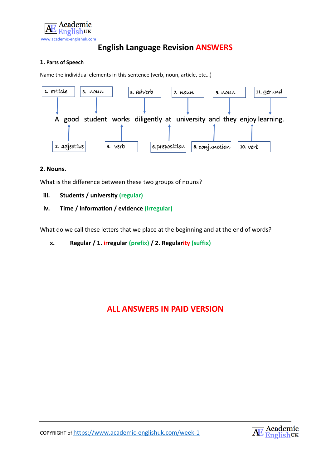

## **English Language Revision ANSWERS**

## **1. Parts of Speech**

Name the individual elements in this sentence (verb, noun, article, etc…)



#### **2. Nouns.**

What is the difference between these two groups of nouns?

**iii. Students / university (regular)**

## **iv. Time / information / evidence (irregular)**

What do we call these letters that we place at the beginning and at the end of words?

**x. Regular / 1. irregular (prefix) / 2. Regularity (suffix)**

## **ALL ANSWERS IN PAID VERSION**

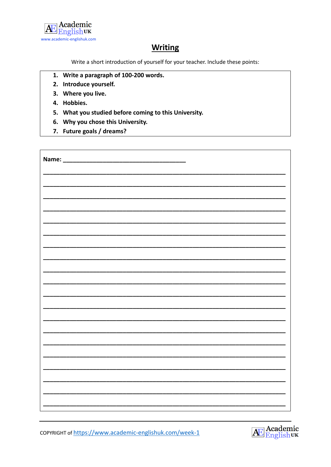

## **Writing**

Write a short introduction of yourself for your teacher. Include these points:

- 1. Write a paragraph of 100-200 words.
- 2. Introduce yourself.
- 3. Where you live.
- 4. Hobbies.
- 5. What you studied before coming to this University.
- 6. Why you chose this University.
- 7. Future goals / dreams?

| Name: __ |  |
|----------|--|
|          |  |
|          |  |
|          |  |
|          |  |
|          |  |
|          |  |
|          |  |
|          |  |
|          |  |
|          |  |
|          |  |
|          |  |
|          |  |
|          |  |

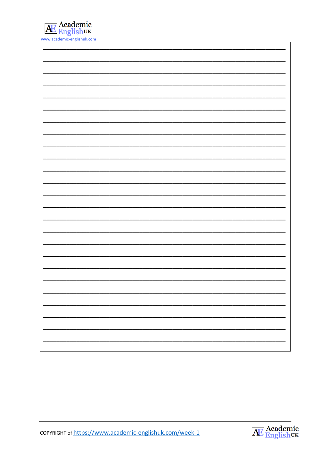

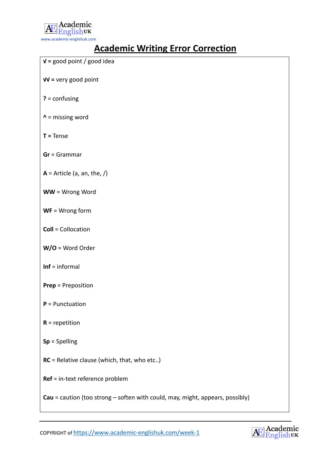

# **Academic Writing Error Correction**

| $V =$ good point / good idea                                                  |
|-------------------------------------------------------------------------------|
| $V = v$ ery good point                                                        |
| $? = \text{confusing}$                                                        |
| $\lambda$ = missing word                                                      |
| $T = Tense$                                                                   |
| $Gr = Grammar$                                                                |
| $A =$ Article (a, an, the, /)                                                 |
| WW = Wrong Word                                                               |
| $WF = Wrong$ form                                                             |
| <b>Coll = Collocation</b>                                                     |
| $W/O = Word Order$                                                            |
| $Inf = informal$                                                              |
| <b>Prep = Preposition</b>                                                     |
| $P =$ Punctuation                                                             |
| $R =$ repetition                                                              |
| $Sp = Spelling$                                                               |
| $RC$ = Relative clause (which, that, who etc)                                 |
| Ref = in-text reference problem                                               |
| Cau = caution (too strong - soften with could, may, might, appears, possibly) |

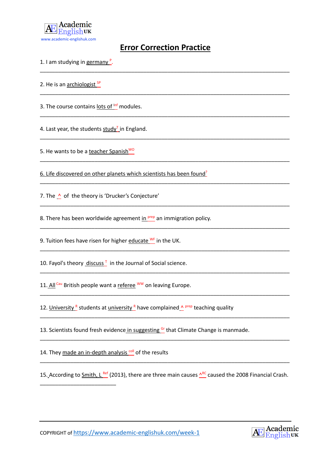

## **Error Correction Practice**

\_\_\_\_\_\_\_\_\_\_\_\_\_\_\_\_\_\_\_\_\_\_\_\_\_\_\_\_\_\_\_\_\_\_\_\_\_\_\_\_\_\_\_\_\_\_\_\_\_\_\_\_\_\_\_\_\_\_\_\_\_\_\_\_\_\_\_\_\_\_\_\_\_\_\_\_\_\_\_\_\_\_

\_\_\_\_\_\_\_\_\_\_\_\_\_\_\_\_\_\_\_\_\_\_\_\_\_\_\_\_\_\_\_\_\_\_\_\_\_\_\_\_\_\_\_\_\_\_\_\_\_\_\_\_\_\_\_\_\_\_\_\_\_\_\_\_\_\_\_\_\_\_\_\_\_\_\_\_\_\_\_\_\_\_

\_\_\_\_\_\_\_\_\_\_\_\_\_\_\_\_\_\_\_\_\_\_\_\_\_\_\_\_\_\_\_\_\_\_\_\_\_\_\_\_\_\_\_\_\_\_\_\_\_\_\_\_\_\_\_\_\_\_\_\_\_\_\_\_\_\_\_\_\_\_\_\_\_\_\_\_\_\_\_\_\_\_

\_\_\_\_\_\_\_\_\_\_\_\_\_\_\_\_\_\_\_\_\_\_\_\_\_\_\_\_\_\_\_\_\_\_\_\_\_\_\_\_\_\_\_\_\_\_\_\_\_\_\_\_\_\_\_\_\_\_\_\_\_\_\_\_\_\_\_\_\_\_\_\_\_\_\_\_\_\_\_\_\_\_

\_\_\_\_\_\_\_\_\_\_\_\_\_\_\_\_\_\_\_\_\_\_\_\_\_\_\_\_\_\_\_\_\_\_\_\_\_\_\_\_\_\_\_\_\_\_\_\_\_\_\_\_\_\_\_\_\_\_\_\_\_\_\_\_\_\_\_\_\_\_\_\_\_\_\_\_\_\_\_\_\_\_

\_\_\_\_\_\_\_\_\_\_\_\_\_\_\_\_\_\_\_\_\_\_\_\_\_\_\_\_\_\_\_\_\_\_\_\_\_\_\_\_\_\_\_\_\_\_\_\_\_\_\_\_\_\_\_\_\_\_\_\_\_\_\_\_\_\_\_\_\_\_\_\_\_\_\_\_\_\_\_\_\_\_

\_\_\_\_\_\_\_\_\_\_\_\_\_\_\_\_\_\_\_\_\_\_\_\_\_\_\_\_\_\_\_\_\_\_\_\_\_\_\_\_\_\_\_\_\_\_\_\_\_\_\_\_\_\_\_\_\_\_\_\_\_\_\_\_\_\_\_\_\_\_\_\_\_\_\_\_\_\_\_\_\_\_

\_\_\_\_\_\_\_\_\_\_\_\_\_\_\_\_\_\_\_\_\_\_\_\_\_\_\_\_\_\_\_\_\_\_\_\_\_\_\_\_\_\_\_\_\_\_\_\_\_\_\_\_\_\_\_\_\_\_\_\_\_\_\_\_\_\_\_\_\_\_\_\_\_\_\_\_\_\_\_\_\_\_

\_\_\_\_\_\_\_\_\_\_\_\_\_\_\_\_\_\_\_\_\_\_\_\_\_\_\_\_\_\_\_\_\_\_\_\_\_\_\_\_\_\_\_\_\_\_\_\_\_\_\_\_\_\_\_\_\_\_\_\_\_\_\_\_\_\_\_\_\_\_\_\_\_\_\_\_\_\_\_\_\_\_

\_\_\_\_\_\_\_\_\_\_\_\_\_\_\_\_\_\_\_\_\_\_\_\_\_\_\_\_\_\_\_\_\_\_\_\_\_\_\_\_\_\_\_\_\_\_\_\_\_\_\_\_\_\_\_\_\_\_\_\_\_\_\_\_\_\_\_\_\_\_\_\_\_\_\_\_\_\_\_\_\_\_

\_\_\_\_\_\_\_\_\_\_\_\_\_\_\_\_\_\_\_\_\_\_\_\_\_\_\_\_\_\_\_\_\_\_\_\_\_\_\_\_\_\_\_\_\_\_\_\_\_\_\_\_\_\_\_\_\_\_\_\_\_\_\_\_\_\_\_\_\_\_\_\_\_\_\_\_\_\_\_\_\_\_

\_\_\_\_\_\_\_\_\_\_\_\_\_\_\_\_\_\_\_\_\_\_\_\_\_\_\_\_\_\_\_\_\_\_\_\_\_\_\_\_\_\_\_\_\_\_\_\_\_\_\_\_\_\_\_\_\_\_\_\_\_\_\_\_\_\_\_\_\_\_\_\_\_\_\_\_\_\_\_\_\_\_

\_\_\_\_\_\_\_\_\_\_\_\_\_\_\_\_\_\_\_\_\_\_\_\_\_\_\_\_\_\_\_\_\_\_\_\_\_\_\_\_\_\_\_\_\_\_\_\_\_\_\_\_\_\_\_\_\_\_\_\_\_\_\_\_\_\_\_\_\_\_\_\_\_\_\_\_\_\_\_\_\_\_

1. I am studying in germany <sup>P</sup>.

2. He is an archiologist  $SP$ 

3. The course contains lots of Inf modules.

4. Last year, the students  $study<sup>T</sup>$  in England.

5. He wants to be a teacher Spanish<sup>WO</sup>

6. Life discovered on other planets which scientists has been found?

7. The  $\land$  of the theory is 'Drucker's Conjecture'

8. There has been worldwide agreement in  $P^{\text{rep}}$  an immigration policy.

9. Tuition fees have risen for higher educate  $^{WF}$  in the UK.

10. Fayol's theory discuss<sup>T</sup> in the Journal of Social science.

11. All  $C_{\text{au}}$  British people want a referee  $^{WW}$  on leaving Europe.

12. University R students at university R have complained  $\triangle$  prep teaching quality

13. Scientists found fresh evidence in suggesting Gr that Climate Change is manmade.

14. They made an in-depth analysis coll of the results

\_\_\_\_\_\_\_\_\_\_\_\_\_\_\_\_\_\_\_\_\_\_\_\_\_

15. According to Smith, L  $^{Ref}$  (2013), there are three main causes  $^{\text{AC}}$  caused the 2008 Financial Crash.

\_\_\_\_\_\_\_\_\_\_\_\_\_\_\_\_\_\_\_\_\_\_\_\_\_\_\_\_\_\_\_\_\_\_\_\_\_\_\_\_\_\_\_\_\_\_\_\_\_\_\_\_\_\_\_\_\_\_\_\_\_\_\_\_\_\_\_\_\_\_\_\_\_\_\_\_\_\_\_\_\_\_